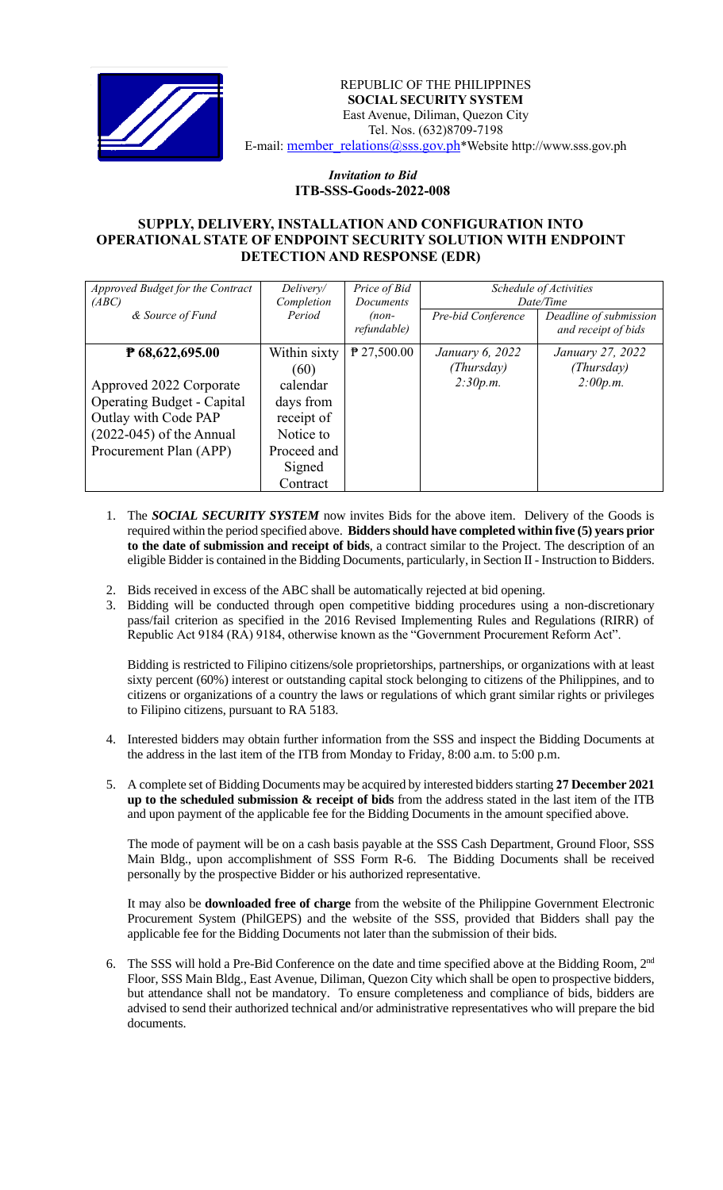

REPUBLIC OF THE PHILIPPINES  **SOCIAL SECURITY SYSTEM** East Avenue, Diliman, Quezon City Tel. Nos. (632)8709-7198 E-mail: [member\\_relations@sss.gov.ph](mailto:member_relations@sss.gov.ph)\*Website http://www.sss.gov.ph

## *Invitation to Bid*  **ITB-SSS-Goods-2022-008**

## **SUPPLY, DELIVERY, INSTALLATION AND CONFIGURATION INTO OPERATIONAL STATE OF ENDPOINT SECURITY SOLUTION WITH ENDPOINT DETECTION AND RESPONSE (EDR)**

| Approved Budget for the Contract  | Delivery/    | Price of Bid     | Schedule of Activities |                        |
|-----------------------------------|--------------|------------------|------------------------|------------------------|
| (ABC)                             | Completion   | <b>Documents</b> | Date/Time              |                        |
| & Source of Fund                  | Period       | $(non-$          | Pre-bid Conference     | Deadline of submission |
|                                   |              | refundable)      |                        | and receipt of bids    |
| P 68,622,695.00                   | Within sixty | $P$ 27,500.00    | January 6, 2022        | January 27, 2022       |
|                                   | (60)         |                  | (Thursday)             | (Thursday)             |
| Approved 2022 Corporate           | calendar     |                  | 2:30p.m.               | 2:00p.m.               |
| <b>Operating Budget - Capital</b> | days from    |                  |                        |                        |
| Outlay with Code PAP              | receipt of   |                  |                        |                        |
| $(2022-045)$ of the Annual        | Notice to    |                  |                        |                        |
| Procurement Plan (APP)            | Proceed and  |                  |                        |                        |
|                                   | Signed       |                  |                        |                        |
|                                   | Contract     |                  |                        |                        |

- 1. The *SOCIAL SECURITY SYSTEM* now invites Bids for the above item. Delivery of the Goods is required within the period specified above. **Bidders should have completed within five (5) years prior to the date of submission and receipt of bids**, a contract similar to the Project. The description of an eligible Bidder is contained in the Bidding Documents, particularly, in Section II - Instruction to Bidders.
- 2. Bids received in excess of the ABC shall be automatically rejected at bid opening.
- 3. Bidding will be conducted through open competitive bidding procedures using a non-discretionary pass/fail criterion as specified in the 2016 Revised Implementing Rules and Regulations (RIRR) of Republic Act 9184 (RA) 9184, otherwise known as the "Government Procurement Reform Act".

Bidding is restricted to Filipino citizens/sole proprietorships, partnerships, or organizations with at least sixty percent (60%) interest or outstanding capital stock belonging to citizens of the Philippines, and to citizens or organizations of a country the laws or regulations of which grant similar rights or privileges to Filipino citizens, pursuant to RA 5183.

- 4. Interested bidders may obtain further information from the SSS and inspect the Bidding Documents at the address in the last item of the ITB from Monday to Friday, 8:00 a.m. to 5:00 p.m.
- 5. A complete set of Bidding Documents may be acquired by interested bidders starting **27 December 2021 up to the scheduled submission & receipt of bids** from the address stated in the last item of the ITB and upon payment of the applicable fee for the Bidding Documents in the amount specified above.

The mode of payment will be on a cash basis payable at the SSS Cash Department, Ground Floor, SSS Main Bldg., upon accomplishment of SSS Form R-6. The Bidding Documents shall be received personally by the prospective Bidder or his authorized representative.

It may also be **downloaded free of charge** from the website of the Philippine Government Electronic Procurement System (PhilGEPS) and the website of the SSS*,* provided that Bidders shall pay the applicable fee for the Bidding Documents not later than the submission of their bids.

6. The SSS will hold a Pre-Bid Conference on the date and time specified above at the Bidding Room, 2<sup>nd</sup> Floor, SSS Main Bldg., East Avenue, Diliman, Quezon City which shall be open to prospective bidders, but attendance shall not be mandatory. To ensure completeness and compliance of bids, bidders are advised to send their authorized technical and/or administrative representatives who will prepare the bid documents.